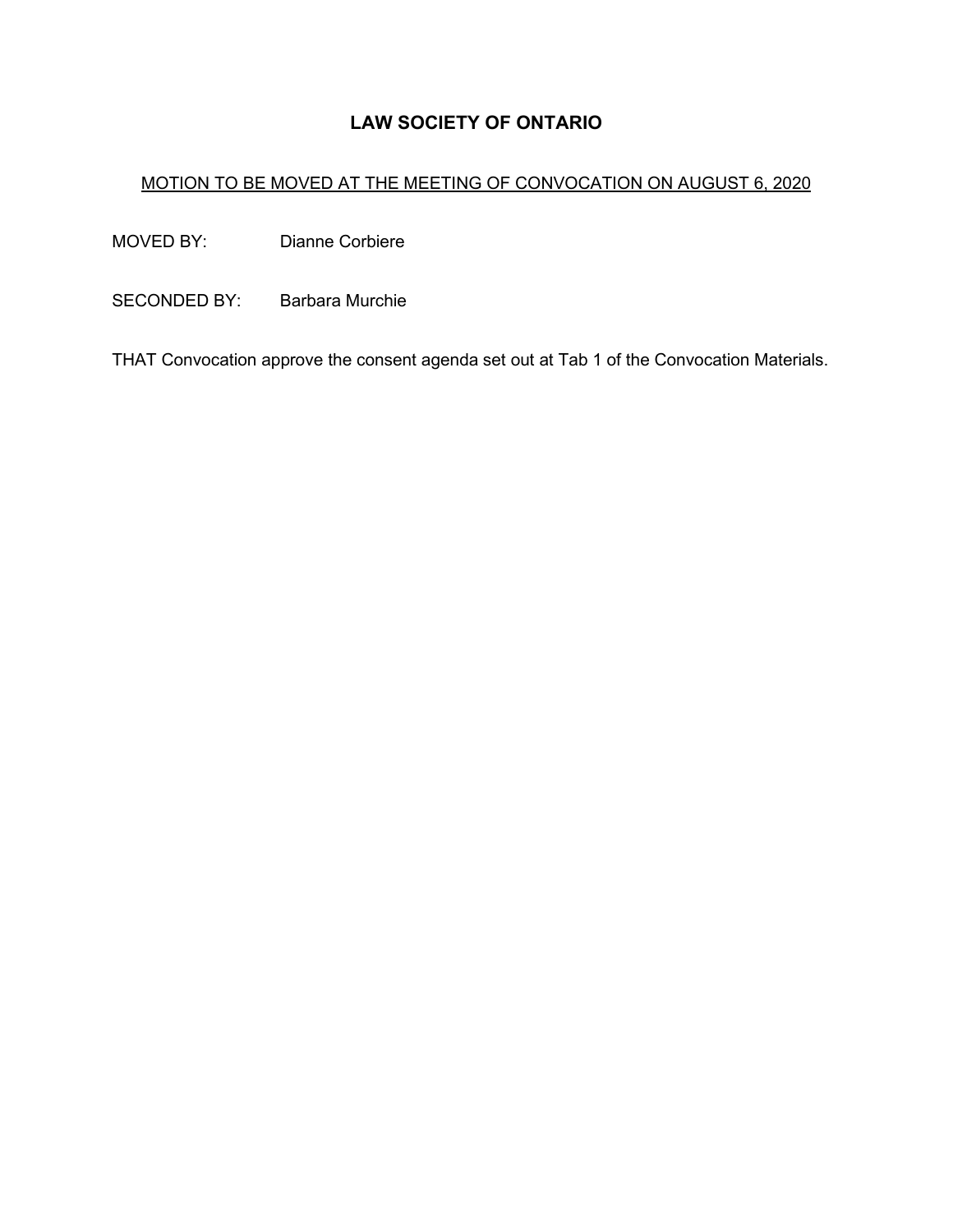# **LAW SOCIETY OF ONTARIO**

# MOTION TO BE MOVED AT THE MEETING OF CONVOCATION ON AUGUST 6, 2020

MOVED BY: Dianne Corbiere

SECONDED BY: Barbara Murchie

THAT Convocation approve the consent agenda set out at Tab 1 of the Convocation Materials.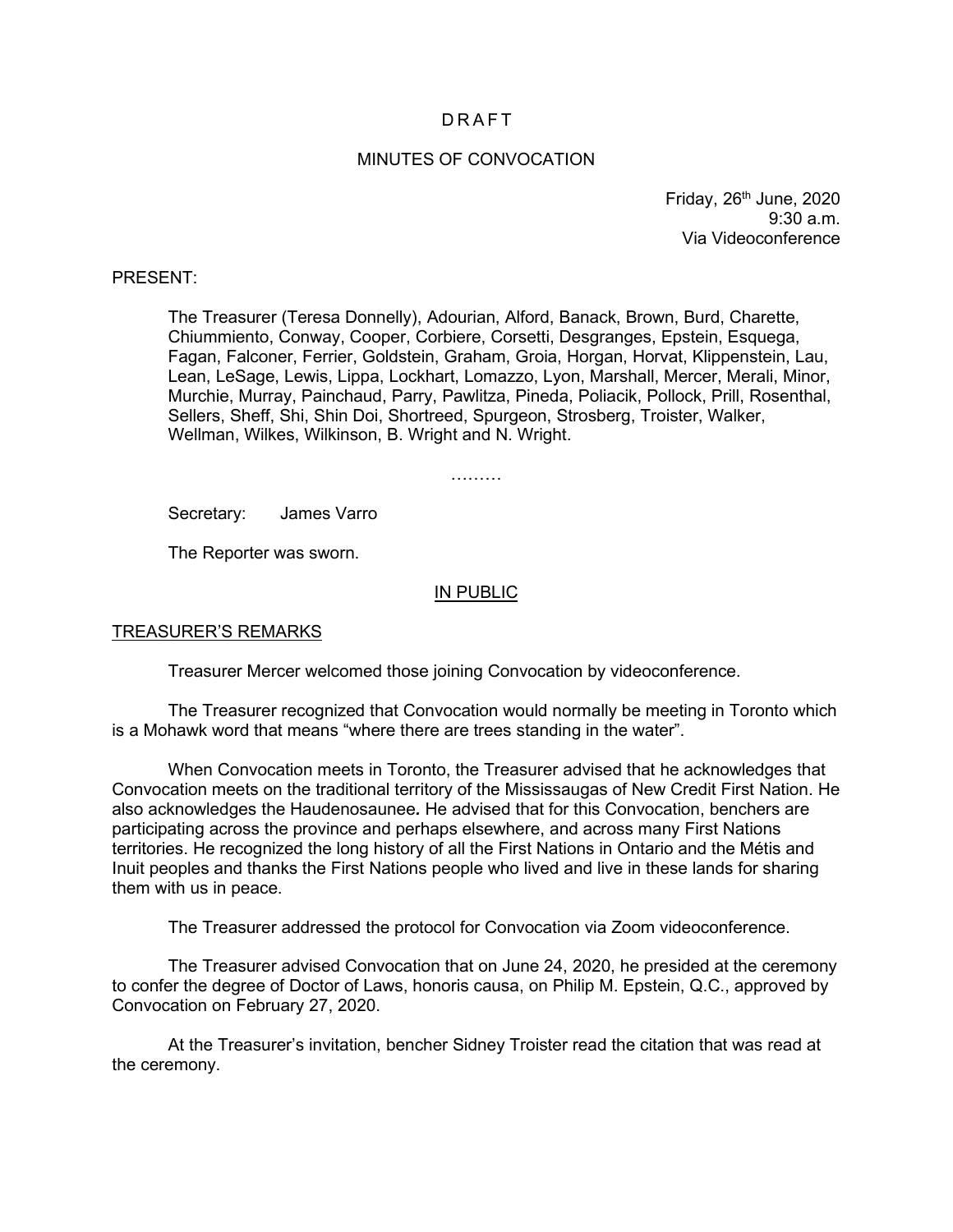# **DRAFT**

## MINUTES OF CONVOCATION

Friday,  $26<sup>th</sup>$  June,  $2020$ 9:30 a.m. Via Videoconference

#### PRESENT:

The Treasurer (Teresa Donnelly), Adourian, Alford, Banack, Brown, Burd, Charette, Chiummiento, Conway, Cooper, Corbiere, Corsetti, Desgranges, Epstein, Esquega, Fagan, Falconer, Ferrier, Goldstein, Graham, Groia, Horgan, Horvat, Klippenstein, Lau, Lean, LeSage, Lewis, Lippa, Lockhart, Lomazzo, Lyon, Marshall, Mercer, Merali, Minor, Murchie, Murray, Painchaud, Parry, Pawlitza, Pineda, Poliacik, Pollock, Prill, Rosenthal, Sellers, Sheff, Shi, Shin Doi, Shortreed, Spurgeon, Strosberg, Troister, Walker, Wellman, Wilkes, Wilkinson, B. Wright and N. Wright.

…………

Secretary: James Varro

The Reporter was sworn.

## IN PUBLIC

#### TREASURER'S REMARKS

Treasurer Mercer welcomed those joining Convocation by videoconference.

The Treasurer recognized that Convocation would normally be meeting in Toronto which is a Mohawk word that means "where there are trees standing in the water".

When Convocation meets in Toronto, the Treasurer advised that he acknowledges that Convocation meets on the traditional territory of the Mississaugas of New Credit First Nation. He also acknowledges the Haudenosaunee*.* He advised that for this Convocation, benchers are participating across the province and perhaps elsewhere, and across many First Nations territories. He recognized the long history of all the First Nations in Ontario and the Métis and Inuit peoples and thanks the First Nations people who lived and live in these lands for sharing them with us in peace.

The Treasurer addressed the protocol for Convocation via Zoom videoconference.

The Treasurer advised Convocation that on June 24, 2020, he presided at the ceremony to confer the degree of Doctor of Laws, honoris causa, on Philip M. Epstein, Q.C., approved by Convocation on February 27, 2020.

At the Treasurer's invitation, bencher Sidney Troister read the citation that was read at the ceremony.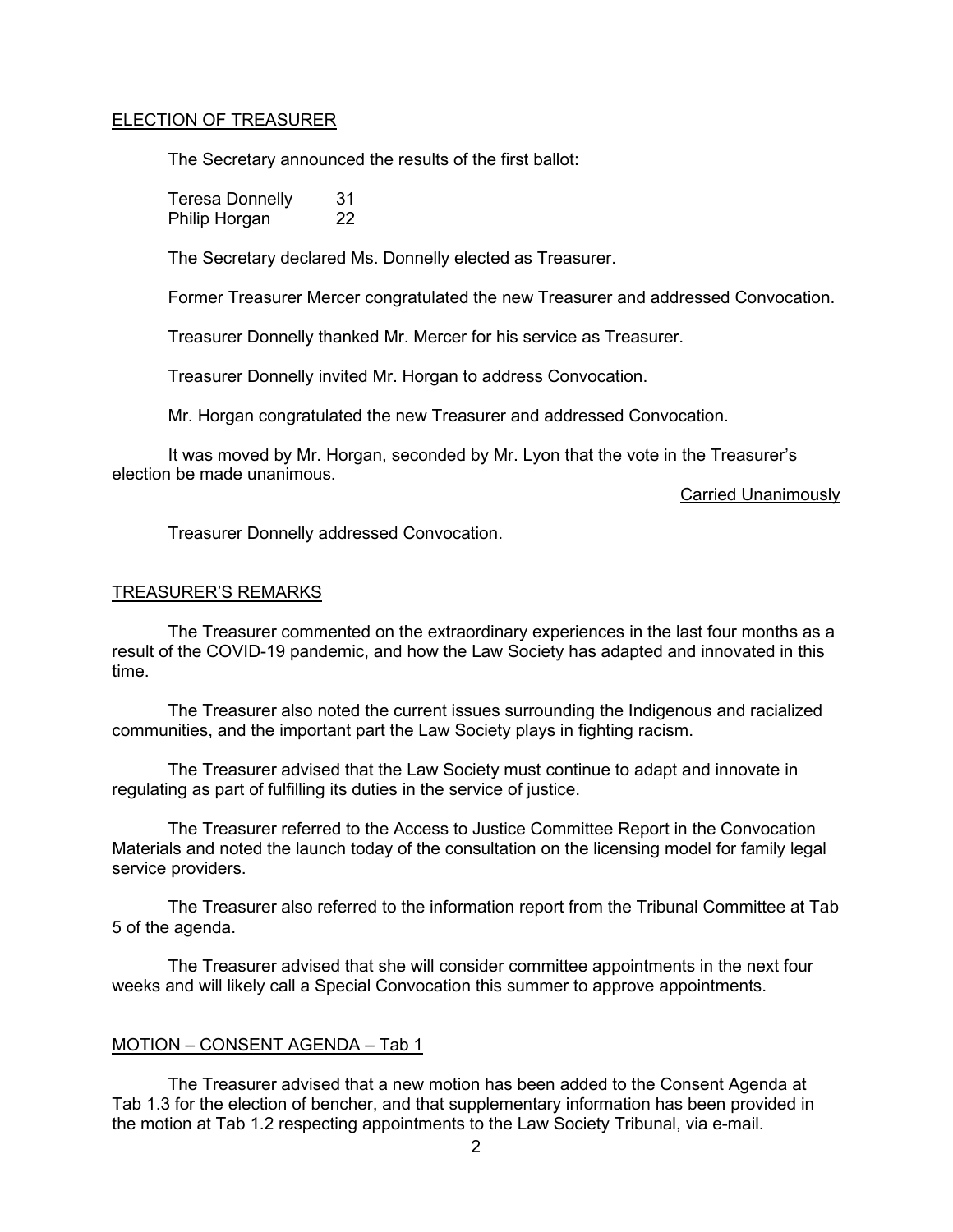## ELECTION OF TREASURER

The Secretary announced the results of the first ballot:

Teresa Donnelly 31 Philip Horgan 22

The Secretary declared Ms. Donnelly elected as Treasurer.

Former Treasurer Mercer congratulated the new Treasurer and addressed Convocation.

Treasurer Donnelly thanked Mr. Mercer for his service as Treasurer.

Treasurer Donnelly invited Mr. Horgan to address Convocation.

Mr. Horgan congratulated the new Treasurer and addressed Convocation.

It was moved by Mr. Horgan, seconded by Mr. Lyon that the vote in the Treasurer's election be made unanimous.

## Carried Unanimously

Treasurer Donnelly addressed Convocation.

# TREASURER'S REMARKS

The Treasurer commented on the extraordinary experiences in the last four months as a result of the COVID-19 pandemic, and how the Law Society has adapted and innovated in this time.

The Treasurer also noted the current issues surrounding the Indigenous and racialized communities, and the important part the Law Society plays in fighting racism.

The Treasurer advised that the Law Society must continue to adapt and innovate in regulating as part of fulfilling its duties in the service of justice.

The Treasurer referred to the Access to Justice Committee Report in the Convocation Materials and noted the launch today of the consultation on the licensing model for family legal service providers.

The Treasurer also referred to the information report from the Tribunal Committee at Tab 5 of the agenda.

The Treasurer advised that she will consider committee appointments in the next four weeks and will likely call a Special Convocation this summer to approve appointments.

# MOTION – CONSENT AGENDA – Tab 1

The Treasurer advised that a new motion has been added to the Consent Agenda at Tab 1.3 for the election of bencher, and that supplementary information has been provided in the motion at Tab 1.2 respecting appointments to the Law Society Tribunal, via e-mail.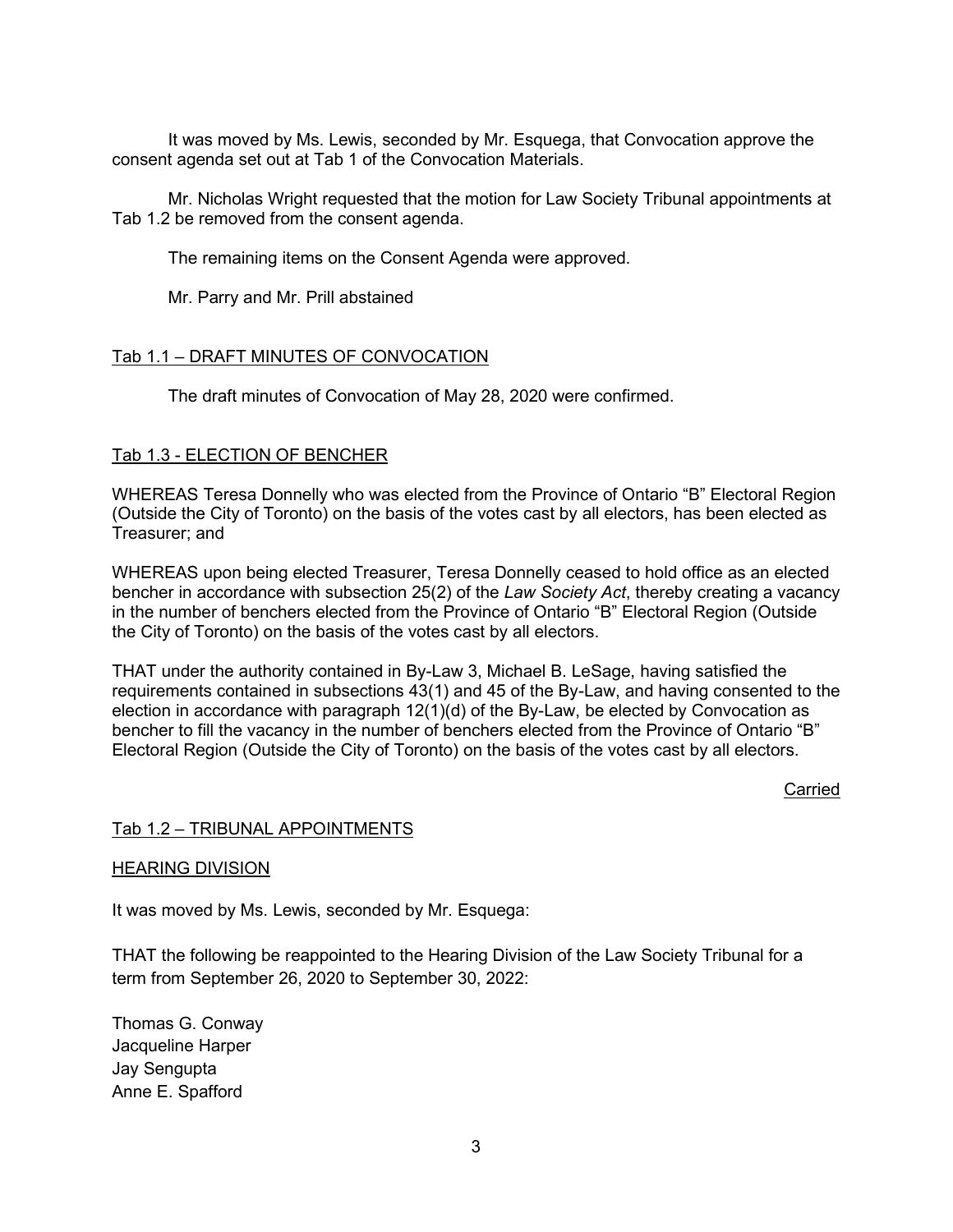It was moved by Ms. Lewis, seconded by Mr. Esquega, that Convocation approve the consent agenda set out at Tab 1 of the Convocation Materials.

Mr. Nicholas Wright requested that the motion for Law Society Tribunal appointments at Tab 1.2 be removed from the consent agenda.

The remaining items on the Consent Agenda were approved.

Mr. Parry and Mr. Prill abstained

# Tab 1.1 – DRAFT MINUTES OF CONVOCATION

The draft minutes of Convocation of May 28, 2020 were confirmed.

# Tab 1.3 - ELECTION OF BENCHER

WHEREAS Teresa Donnelly who was elected from the Province of Ontario "B" Electoral Region (Outside the City of Toronto) on the basis of the votes cast by all electors, has been elected as Treasurer; and

WHEREAS upon being elected Treasurer, Teresa Donnelly ceased to hold office as an elected bencher in accordance with subsection 25(2) of the *Law Society Act*, thereby creating a vacancy in the number of benchers elected from the Province of Ontario "B" Electoral Region (Outside the City of Toronto) on the basis of the votes cast by all electors.

THAT under the authority contained in By-Law 3, Michael B. LeSage, having satisfied the requirements contained in subsections 43(1) and 45 of the By-Law, and having consented to the election in accordance with paragraph 12(1)(d) of the By-Law, be elected by Convocation as bencher to fill the vacancy in the number of benchers elected from the Province of Ontario "B" Electoral Region (Outside the City of Toronto) on the basis of the votes cast by all electors.

## **Carried**

## Tab 1.2 – TRIBUNAL APPOINTMENTS

## HEARING DIVISION

It was moved by Ms. Lewis, seconded by Mr. Esquega:

THAT the following be reappointed to the Hearing Division of the Law Society Tribunal for a term from September 26, 2020 to September 30, 2022:

Thomas G. Conway Jacqueline Harper Jay Sengupta Anne E. Spafford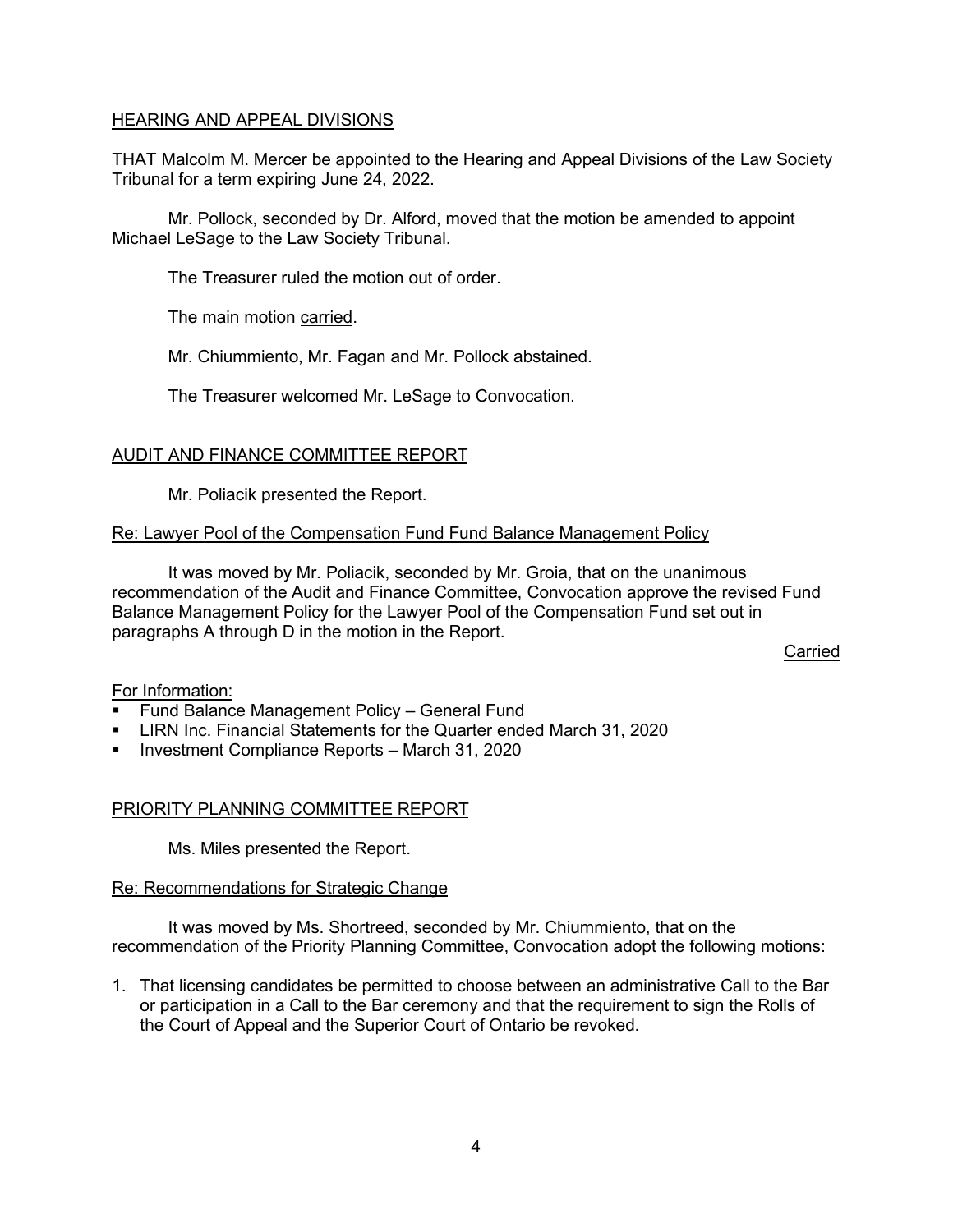# HEARING AND APPEAL DIVISIONS

THAT Malcolm M. Mercer be appointed to the Hearing and Appeal Divisions of the Law Society Tribunal for a term expiring June 24, 2022.

Mr. Pollock, seconded by Dr. Alford, moved that the motion be amended to appoint Michael LeSage to the Law Society Tribunal.

The Treasurer ruled the motion out of order.

The main motion carried.

Mr. Chiummiento, Mr. Fagan and Mr. Pollock abstained.

The Treasurer welcomed Mr. LeSage to Convocation.

# AUDIT AND FINANCE COMMITTEE REPORT

Mr. Poliacik presented the Report.

# Re: Lawyer Pool of the Compensation Fund Fund Balance Management Policy

It was moved by Mr. Poliacik, seconded by Mr. Groia, that on the unanimous recommendation of the Audit and Finance Committee, Convocation approve the revised Fund Balance Management Policy for the Lawyer Pool of the Compensation Fund set out in paragraphs A through D in the motion in the Report.

Carried

## For Information:

- **Fund Balance Management Policy General Fund**
- LIRN Inc. Financial Statements for the Quarter ended March 31, 2020
- **Investment Compliance Reports March 31, 2020**

## PRIORITY PLANNING COMMITTEE REPORT

Ms. Miles presented the Report.

## Re: Recommendations for Strategic Change

It was moved by Ms. Shortreed, seconded by Mr. Chiummiento, that on the recommendation of the Priority Planning Committee, Convocation adopt the following motions:

1. That licensing candidates be permitted to choose between an administrative Call to the Bar or participation in a Call to the Bar ceremony and that the requirement to sign the Rolls of the Court of Appeal and the Superior Court of Ontario be revoked.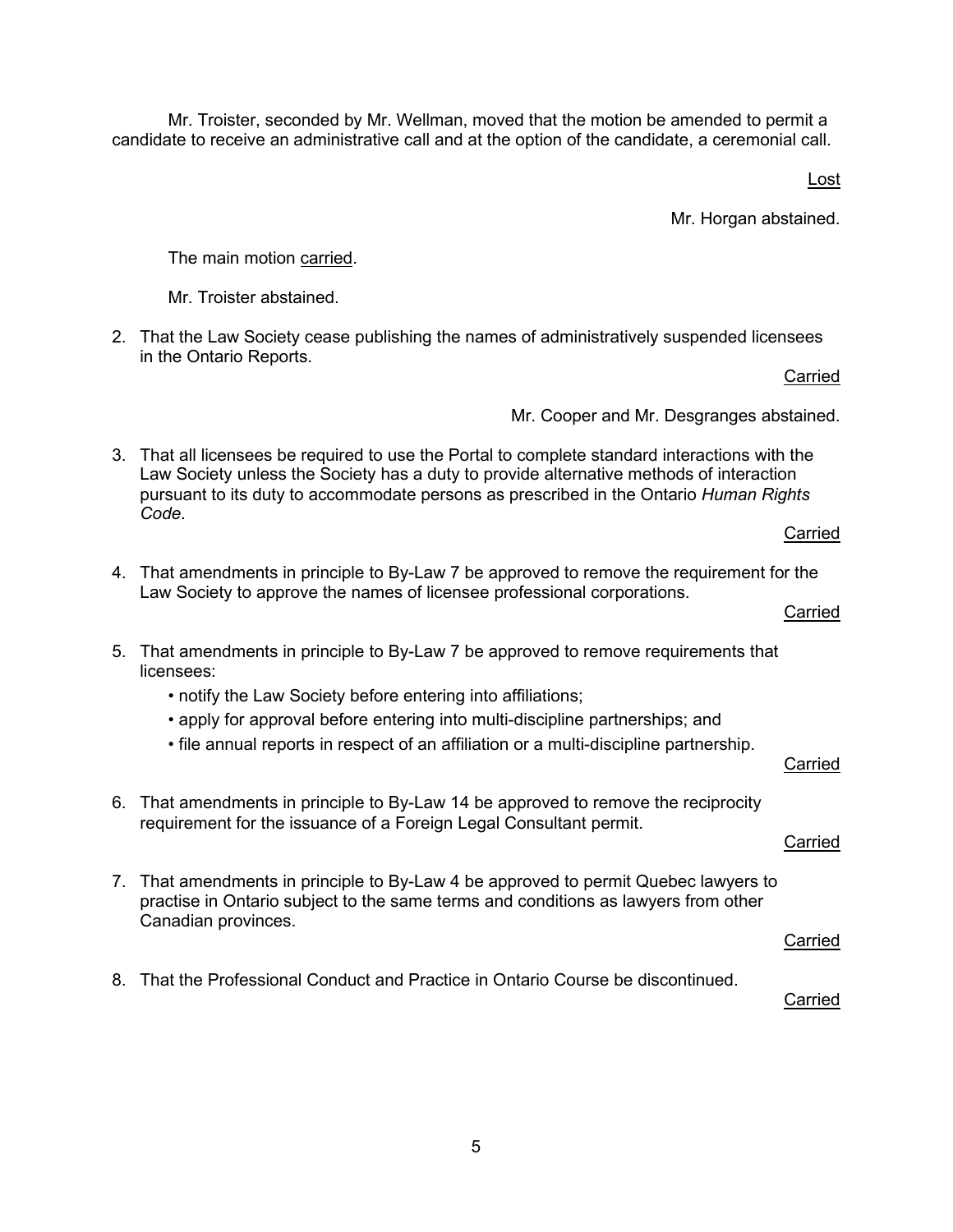Mr. Troister, seconded by Mr. Wellman, moved that the motion be amended to permit a candidate to receive an administrative call and at the option of the candidate, a ceremonial call.

Lost

Mr. Horgan abstained.

The main motion carried.

Mr. Troister abstained.

2. That the Law Society cease publishing the names of administratively suspended licensees in the Ontario Reports.

Carried

Mr. Cooper and Mr. Desgranges abstained.

3. That all licensees be required to use the Portal to complete standard interactions with the Law Society unless the Society has a duty to provide alternative methods of interaction pursuant to its duty to accommodate persons as prescribed in the Ontario *Human Rights Code*.

**Carried** 

Carried

- 4. That amendments in principle to By-Law 7 be approved to remove the requirement for the Law Society to approve the names of licensee professional corporations.
- 5. That amendments in principle to By-Law 7 be approved to remove requirements that licensees:
	- notify the Law Society before entering into affiliations;
	- apply for approval before entering into multi-discipline partnerships; and
	- file annual reports in respect of an affiliation or a multi-discipline partnership.

## Carried

Carried

- 6. That amendments in principle to By-Law 14 be approved to remove the reciprocity requirement for the issuance of a Foreign Legal Consultant permit.
- 7. That amendments in principle to By-Law 4 be approved to permit Quebec lawyers to practise in Ontario subject to the same terms and conditions as lawyers from other Canadian provinces. **Carried**
- 8. That the Professional Conduct and Practice in Ontario Course be discontinued.

## Carried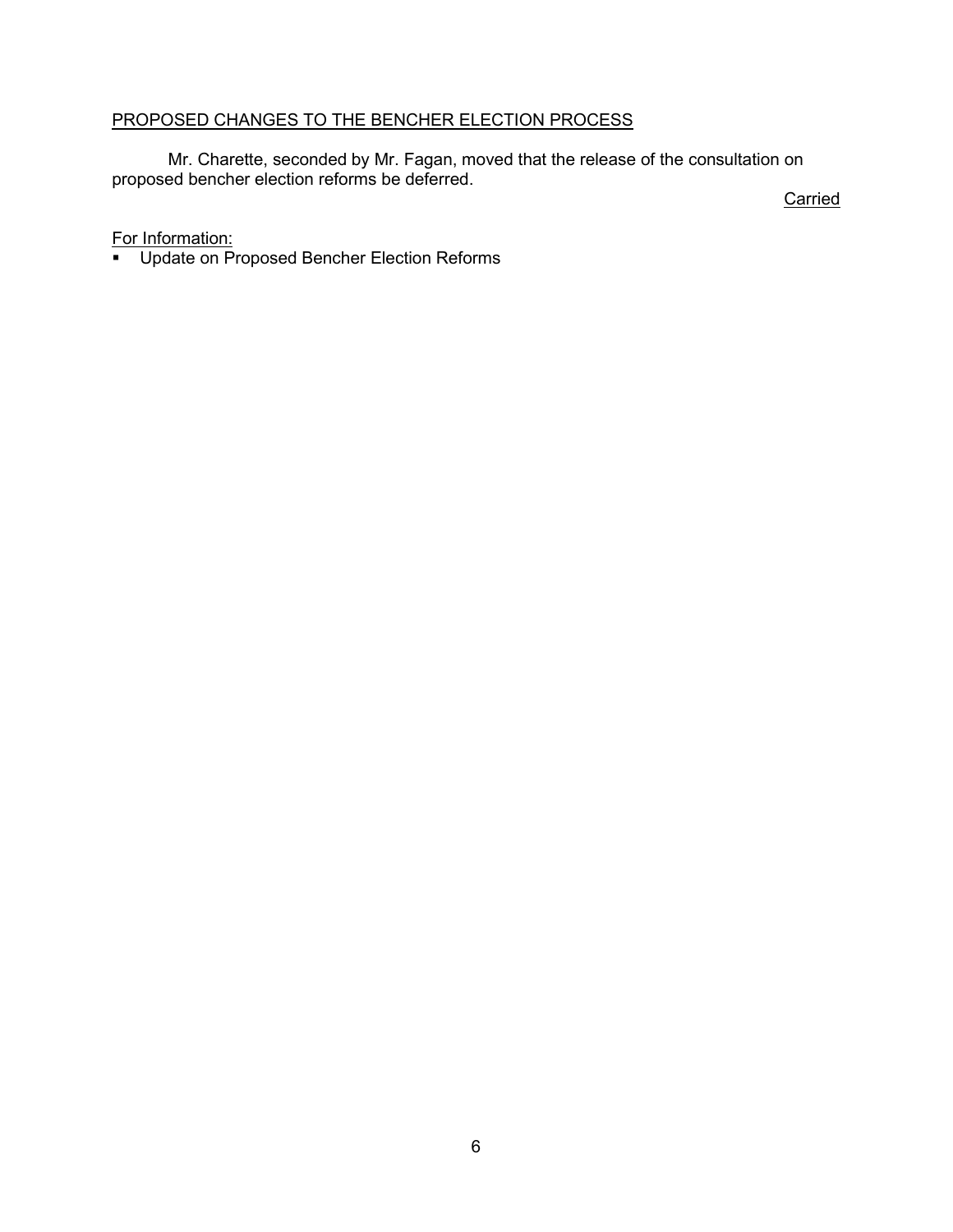# PROPOSED CHANGES TO THE BENCHER ELECTION PROCESS

Mr. Charette, seconded by Mr. Fagan, moved that the release of the consultation on proposed bencher election reforms be deferred.

**Carried** 

# For Information:

**Update on Proposed Bencher Election Reforms**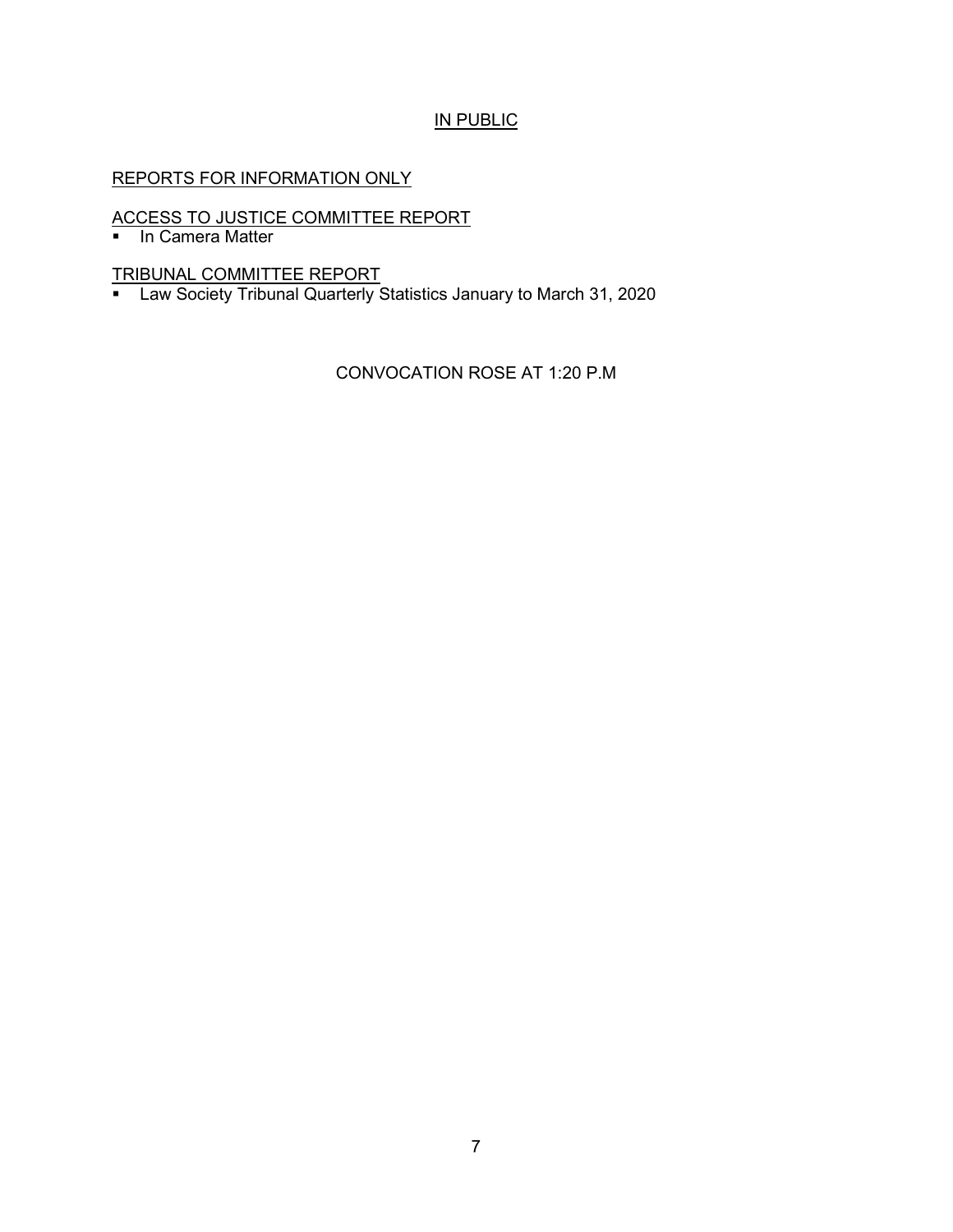# IN PUBLIC

# REPORTS FOR INFORMATION ONLY

# ACCESS TO JUSTICE COMMITTEE REPORT

**In Camera Matter** 

TRIBUNAL COMMITTEE REPORT

■ Law Society Tribunal Quarterly Statistics January to March 31, 2020

CONVOCATION ROSE AT 1:20 P.M